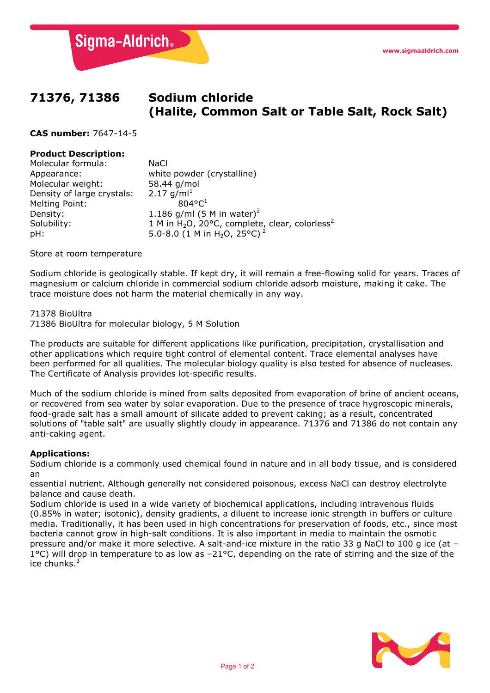**Sigma-Aldrich**®

# **71376, 71386 Sodium chloride (Halite, Common Salt or Table Salt, Rock Salt)**

**CAS number:** 7647-14-5

## **Product Description:**

| Molecular formula:         | <b>NaCl</b>                                                                               |
|----------------------------|-------------------------------------------------------------------------------------------|
| Appearance:                | white powder (crystalline)                                                                |
| Molecular weight:          | 58.44 g/mol                                                                               |
| Density of large crystals: | 2.17 $q/ml^1$                                                                             |
| Melting Point:             | $804^{\circ}C^{1}$                                                                        |
| Density:                   | 1.186 g/ml (5 M in water) <sup>2</sup>                                                    |
| Solubility:                | 1 M in H <sub>2</sub> O, 20°C, complete <sub><i>l</i></sub> clear, colorless <sup>2</sup> |
| pH:                        | 5.0-8.0 (1 M in H <sub>2</sub> O, 25°C) <sup>2</sup>                                      |

Store at room temperature

Sodium chloride is geologically stable. If kept dry, it will remain a free-flowing solid for years. Traces of magnesium or calcium chloride in commercial sodium chloride adsorb moisture, making it cake. The trace moisture does not harm the material chemically in any way.

#### 71378 BioUltra

71386 BioUltra for molecular biology, 5 M Solution

The products are suitable for different applications like purification, precipitation, crystallisation and other applications which require tight control of elemental content. Trace elemental analyses have been performed for all qualities. The molecular biology quality is also tested for absence of nucleases. The Certificate of Analysis provides lot-specific results.

Much of the sodium chloride is mined from salts deposited from evaporation of brine of ancient oceans, or recovered from sea water by solar evaporation. Due to the presence of trace hygroscopic minerals, food-grade salt has a small amount of silicate added to prevent caking; as a result, concentrated solutions of "table salt" are usually slightly cloudy in appearance. 71376 and 71386 do not contain any anti-caking agent.

# **Applications:**

Sodium chloride is a commonly used chemical found in nature and in all body tissue, and is considered an

essential nutrient. Although generally not considered poisonous, excess NaCl can destroy electrolyte balance and cause death.

Sodium chloride is used in a wide variety of biochemical applications, including intravenous fluids (0.85% in water; isotonic), density gradients, a diluent to increase ionic strength in buffers or culture media. Traditionally, it has been used in high concentrations for preservation of foods, etc., since most bacteria cannot grow in high-salt conditions. It is also important in media to maintain the osmotic pressure and/or make it more selective. A salt-and-ice mixture in the ratio 33 g NaCl to 100 g ice (at – 1°C) will drop in temperature to as low as -21°C, depending on the rate of stirring and the size of the ice chunks.<sup>3</sup>